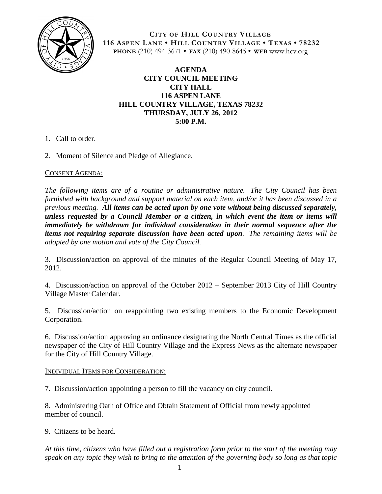

**CITY OF HILL COUNTRY VILLAGE 116 ASPEN LANE • HILL COUNTRY VILLAGE • TEXAS • 78232 PHONE** (210) 494-3671 **• FAX** (210) 490-8645 **• WEB** www.hcv.org

## **AGENDA CITY COUNCIL MEETING CITY HALL 116 ASPEN LANE HILL COUNTRY VILLAGE, TEXAS 78232 THURSDAY, JULY 26, 2012 5:00 P.M.**

- 1. Call to order.
- 2. Moment of Silence and Pledge of Allegiance.

## CONSENT AGENDA:

*The following items are of a routine or administrative nature. The City Council has been furnished with background and support material on each item, and/or it has been discussed in a previous meeting. All items can be acted upon by one vote without being discussed separately, unless requested by a Council Member or a citizen, in which event the item or items will immediately be withdrawn for individual consideration in their normal sequence after the items not requiring separate discussion have been acted upon. The remaining items will be adopted by one motion and vote of the City Council.*

3. Discussion/action on approval of the minutes of the Regular Council Meeting of May 17, 2012.

4. Discussion/action on approval of the October 2012 – September 2013 City of Hill Country Village Master Calendar.

5. Discussion/action on reappointing two existing members to the Economic Development Corporation.

6. Discussion/action approving an ordinance designating the North Central Times as the official newspaper of the City of Hill Country Village and the Express News as the alternate newspaper for the City of Hill Country Village.

## INDIVIDUAL ITEMS FOR CONSIDERATION:

7. Discussion/action appointing a person to fill the vacancy on city council.

8. Administering Oath of Office and Obtain Statement of Official from newly appointed member of council.

9. Citizens to be heard.

*At this time, citizens who have filled out a registration form prior to the start of the meeting may speak on any topic they wish to bring to the attention of the governing body so long as that topic*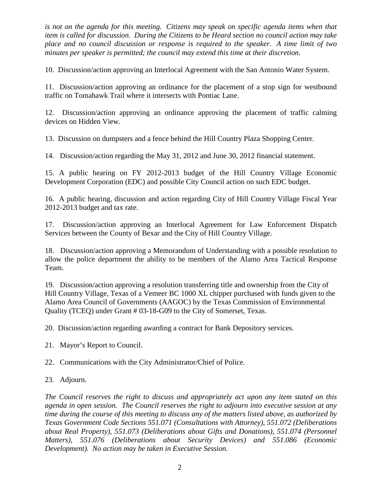*is not on the agenda for this meeting. Citizens may speak on specific agenda items when that item is called for discussion. During the Citizens to be Heard section no council action may take place and no council discussion or response is required to the speaker. A time limit of two minutes per speaker is permitted; the council may extend this time at their discretion.*

10. Discussion/action approving an Interlocal Agreement with the San Antonio Water System.

11. Discussion/action approving an ordinance for the placement of a stop sign for westbound traffic on Tomahawk Trail where it intersects with Pontiac Lane.

12. Discussion/action approving an ordinance approving the placement of traffic calming devices on Hidden View.

13. Discussion on dumpsters and a fence behind the Hill Country Plaza Shopping Center.

14. Discussion/action regarding the May 31, 2012 and June 30, 2012 financial statement.

15. A public hearing on FY 2012-2013 budget of the Hill Country Village Economic Development Corporation (EDC) and possible City Council action on such EDC budget.

16. A public hearing, discussion and action regarding City of Hill Country Village Fiscal Year 2012-2013 budget and tax rate.

17. Discussion/action approving an Interlocal Agreement for Law Enforcement Dispatch Services between the County of Bexar and the City of Hill Country Village.

18. Discussion/action approving a Memorandum of Understanding with a possible resolution to allow the police department the ability to be members of the Alamo Area Tactical Response Team.

19. Discussion/action approving a resolution transferring title and ownership from the City of Hill Country Village, Texas of a Vemeer BC 1000 XL chipper purchased with funds given to the Alamo Area Council of Governments (AAGOC) by the Texas Commission of Environmental Quality (TCEQ) under Grant # 03-18-G09 to the City of Somerset, Texas.

20. Discussion/action regarding awarding a contract for Bank Depository services.

21. Mayor's Report to Council.

22. Communications with the City Administrator/Chief of Police.

## 23. Adjourn.

*The Council reserves the right to discuss and appropriately act upon any item stated on this agenda in open session. The Council reserves the right to adjourn into executive session at any time during the course of this meeting to discuss any of the matters listed above, as authorized by Texas Government Code Sections 551.071 (Consultations with Attorney), 551.072 (Deliberations about Real Property), 551.073 (Deliberations about Gifts and Donations), 551.074 (Personnel Matters), 551.076 (Deliberations about Security Devices) and 551.086 (Economic Development). No action may be taken in Executive Session.*